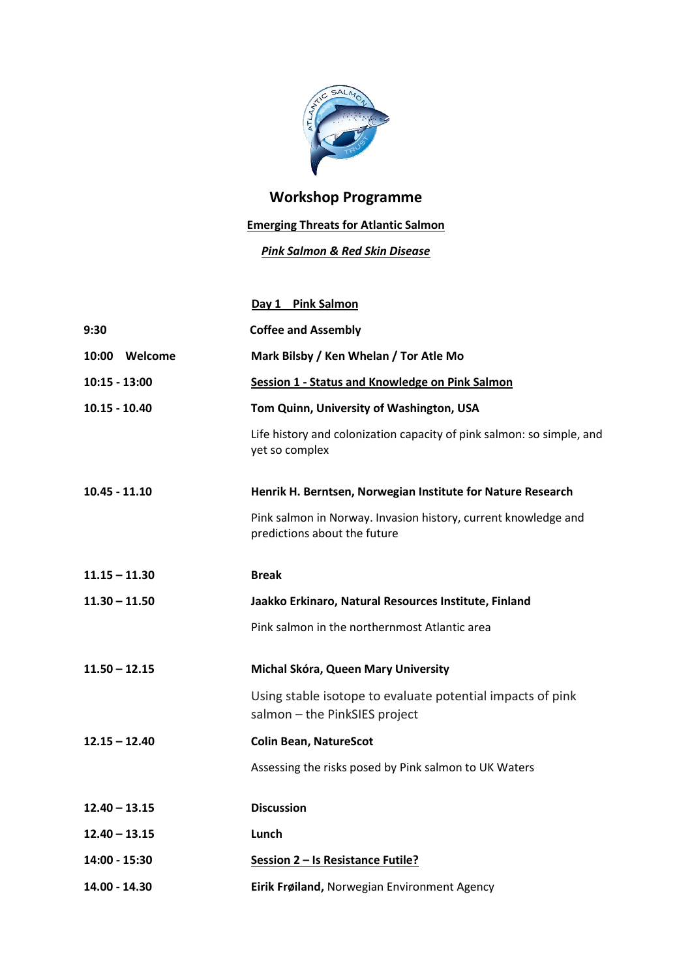

## **Workshop Programme**

## **Emerging Threats for Atlantic Salmon**

## *Pink Salmon & Red Skin Disease*

|                 | Day 1 Pink Salmon                                                                              |
|-----------------|------------------------------------------------------------------------------------------------|
| 9:30            | <b>Coffee and Assembly</b>                                                                     |
| 10:00 Welcome   | Mark Bilsby / Ken Whelan / Tor Atle Mo                                                         |
| 10:15 - 13:00   | Session 1 - Status and Knowledge on Pink Salmon                                                |
| $10.15 - 10.40$ | Tom Quinn, University of Washington, USA                                                       |
|                 | Life history and colonization capacity of pink salmon: so simple, and<br>yet so complex        |
| $10.45 - 11.10$ | Henrik H. Berntsen, Norwegian Institute for Nature Research                                    |
|                 | Pink salmon in Norway. Invasion history, current knowledge and<br>predictions about the future |
| $11.15 - 11.30$ | <b>Break</b>                                                                                   |
| $11.30 - 11.50$ | Jaakko Erkinaro, Natural Resources Institute, Finland                                          |
|                 | Pink salmon in the northernmost Atlantic area                                                  |
| $11.50 - 12.15$ | Michal Skóra, Queen Mary University                                                            |
|                 | Using stable isotope to evaluate potential impacts of pink<br>salmon - the PinkSIES project    |
| $12.15 - 12.40$ | <b>Colin Bean, NatureScot</b>                                                                  |
|                 | Assessing the risks posed by Pink salmon to UK Waters                                          |
| $12.40 - 13.15$ | <b>Discussion</b>                                                                              |
| $12.40 - 13.15$ | Lunch                                                                                          |
| 14:00 - 15:30   | Session 2 - Is Resistance Futile?                                                              |
| 14.00 - 14.30   | Eirik Frøiland, Norwegian Environment Agency                                                   |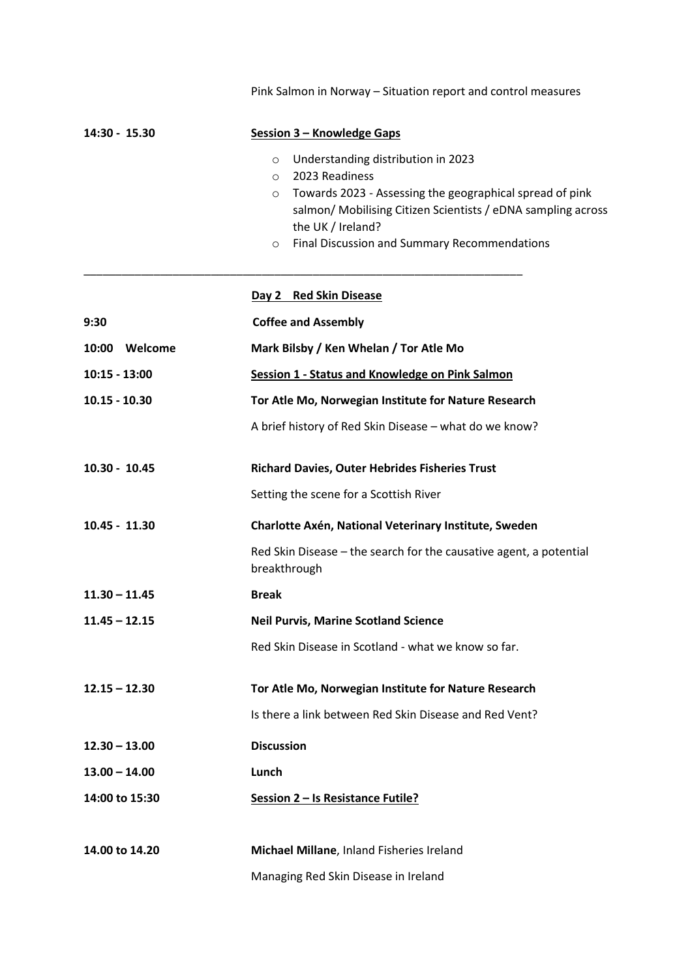|                  | Pink Salmon in Norway - Situation report and control measures                                                                                                                                                                                                                                     |
|------------------|---------------------------------------------------------------------------------------------------------------------------------------------------------------------------------------------------------------------------------------------------------------------------------------------------|
| 14:30 - 15.30    | Session 3 - Knowledge Gaps                                                                                                                                                                                                                                                                        |
|                  | Understanding distribution in 2023<br>$\circ$<br>2023 Readiness<br>$\circ$<br>Towards 2023 - Assessing the geographical spread of pink<br>$\circ$<br>salmon/ Mobilising Citizen Scientists / eDNA sampling across<br>the UK / Ireland?<br>Final Discussion and Summary Recommendations<br>$\circ$ |
|                  | Day 2 Red Skin Disease                                                                                                                                                                                                                                                                            |
| 9:30             | <b>Coffee and Assembly</b>                                                                                                                                                                                                                                                                        |
| Welcome<br>10:00 | Mark Bilsby / Ken Whelan / Tor Atle Mo                                                                                                                                                                                                                                                            |
| $10:15 - 13:00$  | Session 1 - Status and Knowledge on Pink Salmon                                                                                                                                                                                                                                                   |
| $10.15 - 10.30$  | Tor Atle Mo, Norwegian Institute for Nature Research                                                                                                                                                                                                                                              |
|                  | A brief history of Red Skin Disease - what do we know?                                                                                                                                                                                                                                            |
| $10.30 - 10.45$  | <b>Richard Davies, Outer Hebrides Fisheries Trust</b>                                                                                                                                                                                                                                             |
|                  | Setting the scene for a Scottish River                                                                                                                                                                                                                                                            |
| $10.45 - 11.30$  | Charlotte Axén, National Veterinary Institute, Sweden                                                                                                                                                                                                                                             |
|                  | Red Skin Disease – the search for the causative agent, a potential<br>breakthrough                                                                                                                                                                                                                |
| $11.30 - 11.45$  | <b>Break</b>                                                                                                                                                                                                                                                                                      |
| $11.45 - 12.15$  | <b>Neil Purvis, Marine Scotland Science</b>                                                                                                                                                                                                                                                       |
|                  | Red Skin Disease in Scotland - what we know so far.                                                                                                                                                                                                                                               |
| $12.15 - 12.30$  | Tor Atle Mo, Norwegian Institute for Nature Research                                                                                                                                                                                                                                              |
|                  | Is there a link between Red Skin Disease and Red Vent?                                                                                                                                                                                                                                            |
| $12.30 - 13.00$  | <b>Discussion</b>                                                                                                                                                                                                                                                                                 |
| $13.00 - 14.00$  | Lunch                                                                                                                                                                                                                                                                                             |
| 14:00 to 15:30   | Session 2 - Is Resistance Futile?                                                                                                                                                                                                                                                                 |
| 14.00 to 14.20   | Michael Millane, Inland Fisheries Ireland                                                                                                                                                                                                                                                         |
|                  | Managing Red Skin Disease in Ireland                                                                                                                                                                                                                                                              |